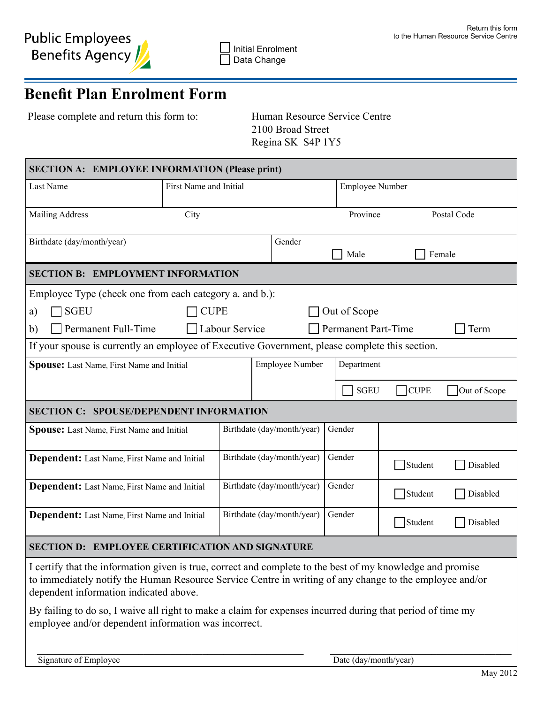# **Benefit Plan Enrolment Form**

Please complete and return this form to: Human Resource Service Centre

 2100 Broad Street Regina SK S4P 1Y5

| <b>SECTION A: EMPLOYEE INFORMATION (Please print)</b>                                                                                                                                                                                                                                                                                                                         |                        |                            |                        |                       |                        |              |  |
|-------------------------------------------------------------------------------------------------------------------------------------------------------------------------------------------------------------------------------------------------------------------------------------------------------------------------------------------------------------------------------|------------------------|----------------------------|------------------------|-----------------------|------------------------|--------------|--|
| Last Name                                                                                                                                                                                                                                                                                                                                                                     | First Name and Initial |                            |                        |                       | <b>Employee Number</b> |              |  |
| <b>Mailing Address</b>                                                                                                                                                                                                                                                                                                                                                        | City                   |                            |                        | Province              |                        | Postal Code  |  |
| Birthdate (day/month/year)                                                                                                                                                                                                                                                                                                                                                    |                        |                            | Gender                 | Male                  |                        | Female       |  |
| <b>SECTION B: EMPLOYMENT INFORMATION</b>                                                                                                                                                                                                                                                                                                                                      |                        |                            |                        |                       |                        |              |  |
| Employee Type (check one from each category a. and b.):                                                                                                                                                                                                                                                                                                                       |                        |                            |                        |                       |                        |              |  |
| <b>SGEU</b><br>a)                                                                                                                                                                                                                                                                                                                                                             | Out of Scope           |                            |                        |                       |                        |              |  |
| Permanent Full-Time<br>Permanent Part-Time<br>Labour Service<br>Term<br>b)                                                                                                                                                                                                                                                                                                    |                        |                            |                        |                       |                        |              |  |
| If your spouse is currently an employee of Executive Government, please complete this section.                                                                                                                                                                                                                                                                                |                        |                            |                        |                       |                        |              |  |
| <b>Spouse:</b> Last Name, First Name and Initial                                                                                                                                                                                                                                                                                                                              |                        |                            | <b>Employee Number</b> |                       | Department             |              |  |
|                                                                                                                                                                                                                                                                                                                                                                               |                        |                            |                        | <b>SGEU</b>           | $\bigcap$ CUPE         | Out of Scope |  |
| <b>SECTION C: SPOUSE/DEPENDENT INFORMATION</b>                                                                                                                                                                                                                                                                                                                                |                        |                            |                        |                       |                        |              |  |
| <b>Spouse:</b> Last Name, First Name and Initial                                                                                                                                                                                                                                                                                                                              |                        | Birthdate (day/month/year) |                        | Gender                |                        |              |  |
| <b>Dependent:</b> Last Name, First Name and Initial                                                                                                                                                                                                                                                                                                                           |                        | Birthdate (day/month/year) |                        | Gender                | Student                | Disabled     |  |
| <b>Dependent:</b> Last Name, First Name and Initial                                                                                                                                                                                                                                                                                                                           |                        | Birthdate (day/month/year) |                        | Gender                | Student                | Disabled     |  |
| <b>Dependent:</b> Last Name, First Name and Initial                                                                                                                                                                                                                                                                                                                           |                        | Birthdate (day/month/year) |                        | Gender                | Student                | Disabled     |  |
| <b>EMPLOYEE CERTIFICATION AND SIGNATURE</b><br><b>SECTION D:</b>                                                                                                                                                                                                                                                                                                              |                        |                            |                        |                       |                        |              |  |
| I certify that the information given is true, correct and complete to the best of my knowledge and promise<br>to immediately notify the Human Resource Service Centre in writing of any change to the employee and/or<br>dependent information indicated above.<br>By failing to do so, I waive all right to make a claim for expenses incurred during that period of time my |                        |                            |                        |                       |                        |              |  |
| employee and/or dependent information was incorrect.<br>Signature of Employee                                                                                                                                                                                                                                                                                                 |                        |                            |                        | Date (day/month/year) |                        |              |  |